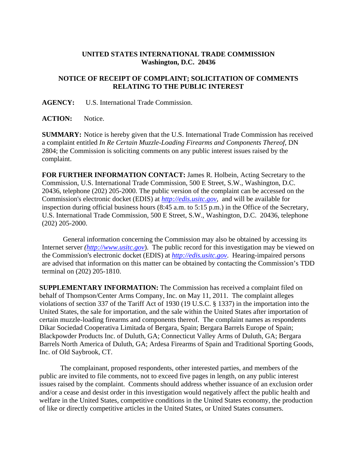## **UNITED STATES INTERNATIONAL TRADE COMMISSION Washington, D.C. 20436**

## **NOTICE OF RECEIPT OF COMPLAINT; SOLICITATION OF COMMENTS RELATING TO THE PUBLIC INTEREST**

**AGENCY:** U.S. International Trade Commission.

ACTION: Notice.

**SUMMARY:** Notice is hereby given that the U.S. International Trade Commission has received a complaint entitled *In Re Certain Muzzle-Loading Firearms and Components Thereof*, DN 2804; the Commission is soliciting comments on any public interest issues raised by the complaint.

**FOR FURTHER INFORMATION CONTACT:** James R. Holbein, Acting Secretary to the Commission, U.S. International Trade Commission, 500 E Street, S.W., Washington, D.C. 20436, telephone (202) 205-2000. The public version of the complaint can be accessed on the Commission's electronic docket (EDIS) at *http://edis.usitc.gov*,and will be available for inspection during official business hours (8:45 a.m. to 5:15 p.m.) in the Office of the Secretary, U.S. International Trade Commission, 500 E Street, S.W., Washington, D.C. 20436, telephone (202) 205-2000.

General information concerning the Commission may also be obtained by accessing its Internet server *(http://www.usitc.gov*). The public record for this investigation may be viewed on the Commission's electronic docket (EDIS) at *http://edis.usitc.gov*. Hearing-impaired persons are advised that information on this matter can be obtained by contacting the Commission's TDD terminal on (202) 205-1810.

**SUPPLEMENTARY INFORMATION:** The Commission has received a complaint filed on behalf of Thompson/Center Arms Company, Inc. on May 11, 2011. The complaint alleges violations of section 337 of the Tariff Act of 1930 (19 U.S.C. § 1337) in the importation into the United States, the sale for importation, and the sale within the United States after importation of certain muzzle-loading firearms and components thereof. The complaint names as respondents Dikar Sociedad Cooperativa Limitada of Bergara, Spain; Bergara Barrels Europe of Spain; Blackpowder Products Inc. of Duluth, GA; Connecticut Valley Arms of Duluth, GA; Bergara Barrels North America of Duluth, GA; Ardesa Firearms of Spain and Traditional Sporting Goods, Inc. of Old Saybrook, CT.

 The complainant, proposed respondents, other interested parties, and members of the public are invited to file comments, not to exceed five pages in length, on any public interest issues raised by the complaint. Comments should address whether issuance of an exclusion order and/or a cease and desist order in this investigation would negatively affect the public health and welfare in the United States, competitive conditions in the United States economy, the production of like or directly competitive articles in the United States, or United States consumers.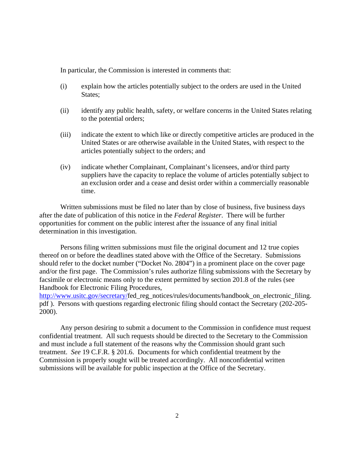In particular, the Commission is interested in comments that:

- (i) explain how the articles potentially subject to the orders are used in the United States;
- (ii) identify any public health, safety, or welfare concerns in the United States relating to the potential orders;
- (iii) indicate the extent to which like or directly competitive articles are produced in the United States or are otherwise available in the United States, with respect to the articles potentially subject to the orders; and
- (iv) indicate whether Complainant, Complainant's licensees, and/or third party suppliers have the capacity to replace the volume of articles potentially subject to an exclusion order and a cease and desist order within a commercially reasonable time.

 Written submissions must be filed no later than by close of business, five business days after the date of publication of this notice in the *Federal Register*. There will be further opportunities for comment on the public interest after the issuance of any final initial determination in this investigation.

 Persons filing written submissions must file the original document and 12 true copies thereof on or before the deadlines stated above with the Office of the Secretary. Submissions should refer to the docket number ("Docket No. 2804") in a prominent place on the cover page and/or the first page. The Commission's rules authorize filing submissions with the Secretary by facsimile or electronic means only to the extent permitted by section 201.8 of the rules (see Handbook for Electronic Filing Procedures,

http://www.usitc.gov/secretary/fed\_reg\_notices/rules/documents/handbook\_on\_electronic\_filing. pdf ). Persons with questions regarding electronic filing should contact the Secretary (202-205- 2000).

 Any person desiring to submit a document to the Commission in confidence must request confidential treatment. All such requests should be directed to the Secretary to the Commission and must include a full statement of the reasons why the Commission should grant such treatment. *See* 19 C.F.R. § 201.6. Documents for which confidential treatment by the Commission is properly sought will be treated accordingly. All nonconfidential written submissions will be available for public inspection at the Office of the Secretary.